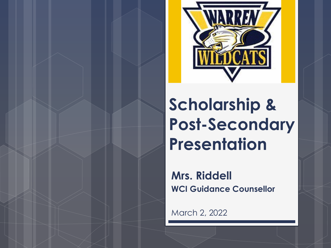

#### **Scholarship & Post-Secondary Presentation**

**Mrs. Riddell WCI Guidance Counsellor**

March 2, 2022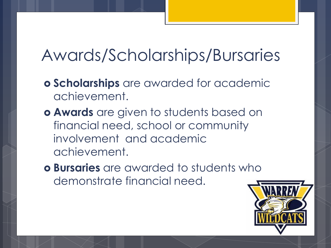#### Awards/Scholarships/Bursaries

- **Scholarships** are awarded for academic achievement.
- **Awards** are given to students based on financial need, school or community involvement and academic achievement.
- **Bursaries** are awarded to students who demonstrate financial need.

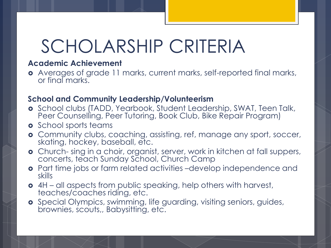### SCHOLARSHIP CRITERIA

#### **Academic Achievement**

 Averages of grade 11 marks, current marks, self-reported final marks, or final marks.

#### **School and Community Leadership/Volunteerism**

- **o** School clubs (TADD, Yearbook, Student Leadership, SWAT, Teen Talk, Peer Counselling, Peer Tutoring, Book Club, Bike Repair Program)
- **o** School sports teams
- Community clubs, coaching, assisting, ref, manage any sport, soccer, skating, hockey, baseball, etc.
- Church- sing in a choir, organist, server, work in kitchen at fall suppers, concerts, teach Sunday School, Church Camp
- Part time jobs or farm related activities –develop independence and skills
- 4H all aspects from public speaking, help others with harvest, teaches/coaches riding, etc.
- **o** Special Olympics, swimming, life guarding, visiting seniors, guides, brownies, scouts,, Babysitting, etc.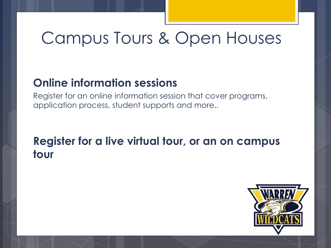#### Campus Tours & Open Houses

#### **Online information sessions**

Register for an online information session that cover programs, application process, student supports and more..

#### **Register for a live virtual tour, or an on campus tour**

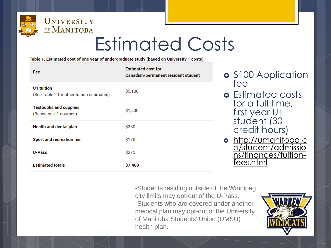

### Estimated Costs

Table 1. Estimated cost of one year of undergraduate study (based on University 1 costs)

| Fee                                                     | <b>Estimated cost for</b><br>Canadian/permanent resident student |
|---------------------------------------------------------|------------------------------------------------------------------|
| U1 tuition<br>(See Table 2 for other tuition estimates) | \$5,100                                                          |
| <b>Textbooks and supplies</b><br>(Based on U1 courses)  | \$1,500                                                          |
| <b>Health and dental plan</b>                           | \$350                                                            |
| Sport and recreation fee                                | \$175                                                            |
| U-Pass                                                  | \$275                                                            |
| <b>Estimated totals</b>                                 | \$7,400                                                          |

- **o** \$100 Application fee
- **o** Estimated costs for a full time, first year U1 student (30 credit hours)
- o http://umanitoba.c [a/student/admissio](http://umanitoba.ca/student/admissions/finances/tuition-fees.html) ns/finances/tuitionfees.html

-Students residing outside of the Winnipeg city limits may opt-out of the U-Pass. -Students who are covered under another medical plan may opt-out of the University of Manitoba Students' Union (UMSU) health plan.

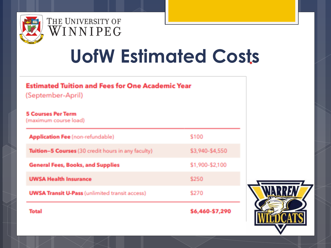

#### THE UNIVERSITY OF WINNIPEG

# **UofW Estimated Costs**

#### **Estimated Tuition and Fees for One Academic Year**

(September-April)

#### **5 Courses Per Term**

(maximum course load)

| Total                                                 | \$6,460-\$7,290 |
|-------------------------------------------------------|-----------------|
| <b>UWSA Transit U-Pass (unlimited transit access)</b> | \$270           |
| <b>UWSA Health Insurance</b>                          | \$250           |
| <b>General Fees, Books, and Supplies</b>              | \$1,900-\$2,100 |
| Tuition-5 Courses (30 credit hours in any faculty)    | \$3,940-\$4,550 |
| <b>Application Fee</b> (non-refundable)               | \$100           |

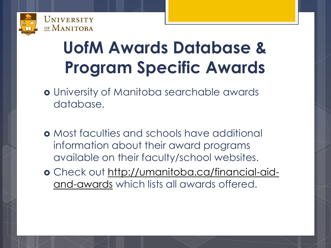

#### **UofM Awards Database & Program Specific Awards**

- University of Manitoba searchable awards database.
- Most faculties and schools have additional information about their award programs available on their faculty/school websites.
- [Check out http://umanitoba.ca/financial-aid](http://umanitoba.ca/financial-aid-and-awards)and-awards which lists all awards offered.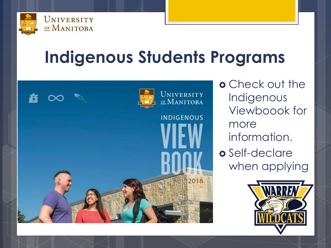

#### **Indigenous Students Programs**



o Check out the Indigenous Viewboook for more information.

o Self-declare when applying

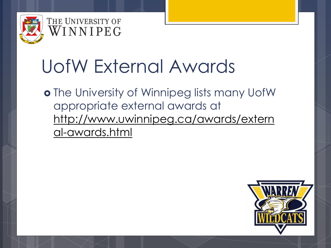

#### THE UNIVERSITY OF WINNIPEG

### UofW External Awards

o The University of Winnipeg lists many UofW appropriate external awards at [http://www.uwinnipeg.ca/awards/extern](http://www.uwinnipeg.ca/awards/external-awards.html) al-awards.html

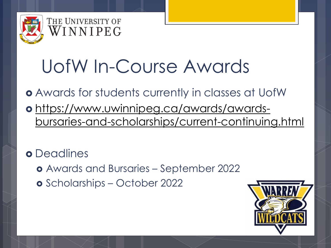

#### THE UNIVERSITY OF WINNIPEG

## UofW In-Course Awards

#### Awards for students currently in classes at UofW

 https://www.uwinnipeg.ca/awards/awards[bursaries-and-scholarships/current-continuing.html](https://www.uwinnipeg.ca/awards/awards-bursaries-and-scholarships/current-continuing.html)

**o** Deadlines

- Awards and Bursaries September 2022
- Scholarships October 2022

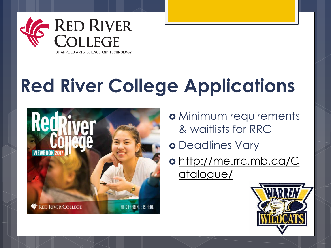

OF APPLIED ARTS, SCIENCE AND TECHNOLOGY

# **Red River College Applications**



- o Minimum requirements & waitlists for RRC
- o Deadlines Vary
- o [http://me.rrc.mb.ca/C](http://me.rrc.mb.ca/Catalogue/) atalogue/

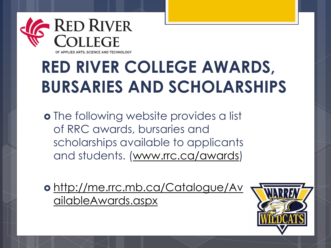

#### **RED RIVER COLLEGE AWARDS, BURSARIES AND SCHOLARSHIPS**

**o** The following website provides a list of RRC awards, bursaries and scholarships available to applicants and students. [\(www.rrc.ca/awards](http://www.rrc.ca/awards))

o [http://me.rrc.mb.ca/Catalogue/Av](http://me.rrc.mb.ca/Catalogue/AvailableAwards.aspx) ailableAwards.aspx

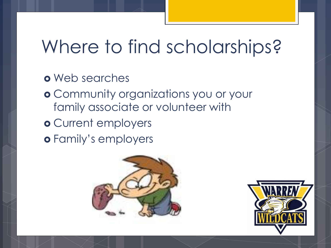#### Where to find scholarships?

- Web searches
- Community organizations you or your family associate or volunteer with
- o Current employers
- Family's employers



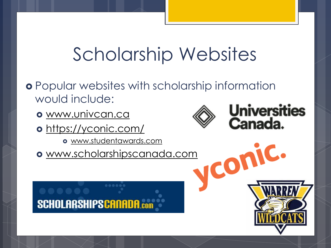### Scholarship Websites

- Popular websites with scholarship information would include:
	- [www.univcan.ca](http://www.univcan.ca/)
	- o <https://yconic.com/>
		- [www.studentawards.com](http://www.studentawards.com/)
	- [www.scholarshipscanada.com](http://www.scholarshipscanada.com/)





ICON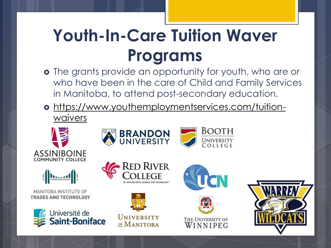#### **Youth-In-Care Tuition Waver Programs**

- o The grants provide an opportunity for youth, who are or who have been in the care of Child and Family Services in Manitoba, to attend post-secondary education.
- [https://www.youthemploymentservices.com/tuition](https://www.youthemploymentservices.com/tuition-waivers)waivers

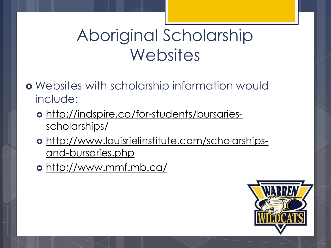#### Aboriginal Scholarship **Websites**

- Websites with scholarship information would include:
	- [http://indspire.ca/for-students/bursaries](http://indspire.ca/for-students/bursaries-scholarships/)scholarships/
	- [http://www.louisrielinstitute.com/scholarships](http://www.louisrielinstitute.com/scholarships-and-bursaries.php)and-bursaries.php
	- <http://www.mmf.mb.ca/>

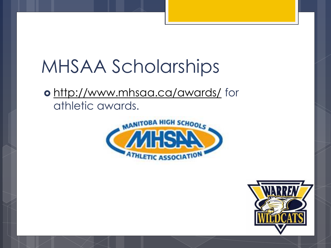### MHSAA Scholarships

 <http://www.mhsaa.ca/awards/> for athletic awards.



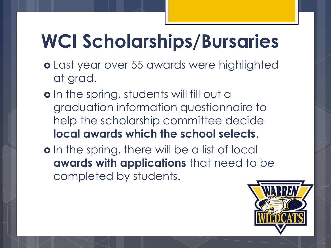## **WCI Scholarships/Bursaries**

- Last year over 55 awards were highlighted at grad.
- o In the spring, students will fill out a graduation information questionnaire to help the scholarship committee decide **local awards which the school selects**.
- o In the spring, there will be a list of local **awards with applications** that need to be completed by students.

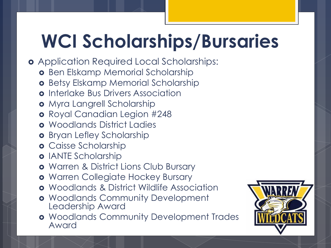# **WCI Scholarships/Bursaries**

- Application Required Local Scholarships:
	- **o** Ben Elskamp Memorial Scholarship
	- **o** Betsy Elskamp Memorial Scholarship
	- **o** Interlake Bus Drivers Association
	- o Myra Langrell Scholarship
	- o Royal Canadian Legion #248
	- **o** Woodlands District Ladies
	- **o** Bryan Lefley Scholarship
	- **o** Caisse Scholarship
	- **o** IANTE Scholarship
	- **o** Warren & District Lions Club Bursary
	- Warren Collegiate Hockey Bursary
	- Woodlands & District Wildlife Association
	- **o** Woodlands Community Development Leadership Award
	- **o** Woodlands Community Development Trades Award

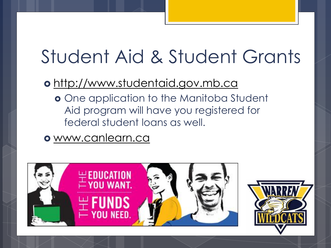### Student Aid & Student Grants

#### [http://www.studentaid.gov.mb.ca](http://www.studentaid.gov.mb.ca/)

- **o** One application to the Manitoba Student Aid program will have you registered for federal student loans as well.
- [www.canlearn.ca](http://www.canlearn.ca/)



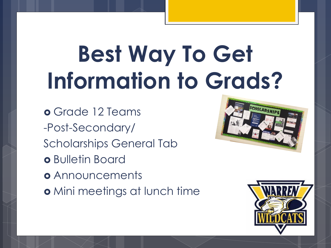# **Best Way To Get Information to Grads?**

 Grade 12 Teams -Post-Secondary/ Scholarships General Tab o Bulletin Board **o** Announcements o Mini meetings at lunch time